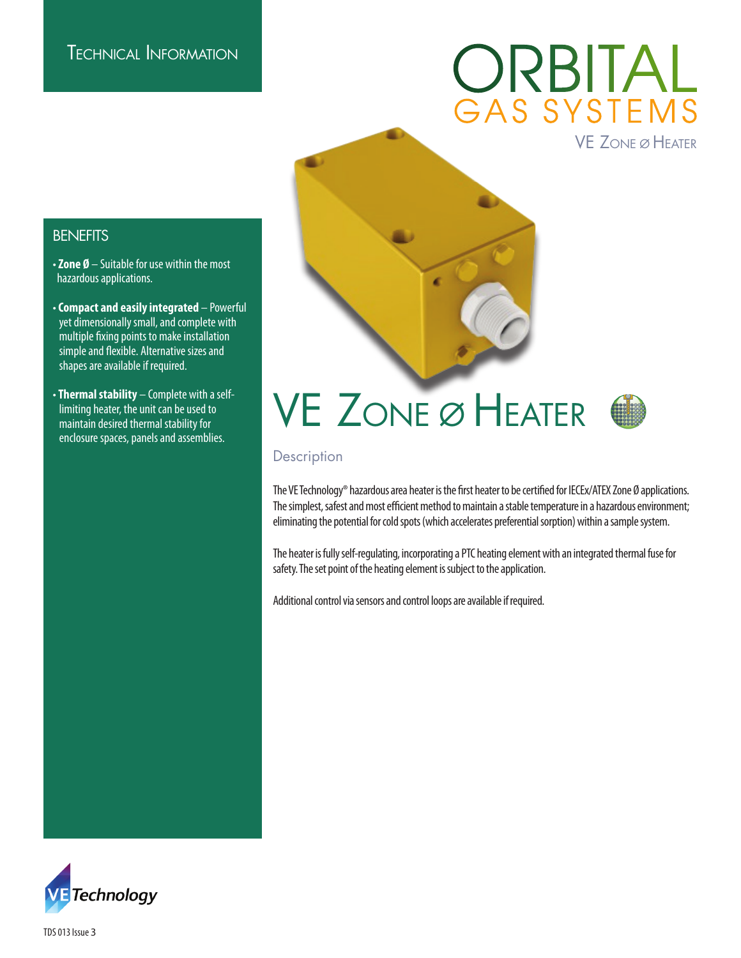## ORBITAL<br>GAS SYSTEMS VE Zone ø Heater

**BENEFITS** 

- **Zone Ø** Suitable for use within the most hazardous applications.
- **Compact and easily integrated** Powerful yet dimensionally small, and complete with multiple fixing points to make installation simple and flexible. Alternative sizes and shapes are available if required.
- **Thermal stability** Complete with a self limiting heater, the unit can be used to maintain desired thermal stability for enclosure spaces, panels and assemblies.

# VE Zone ø Heater



#### **Description**

The VE Technology® hazardous area heater is the first heater to be certified for IECEx/ATEX Zone Ø applications. The simplest, safest and most efficient method to maintain a stable temperature in a hazardous environment; eliminating the potential for cold spots (which accelerates preferential sorption) within a sample system.

The heater is fully self-regulating, incorporating a PTC heating element with an integrated thermal fuse for safety. The set point of the heating element is subject to the application.

Additional control via sensors and control loops are available if required.



TDS 013 Issue 3